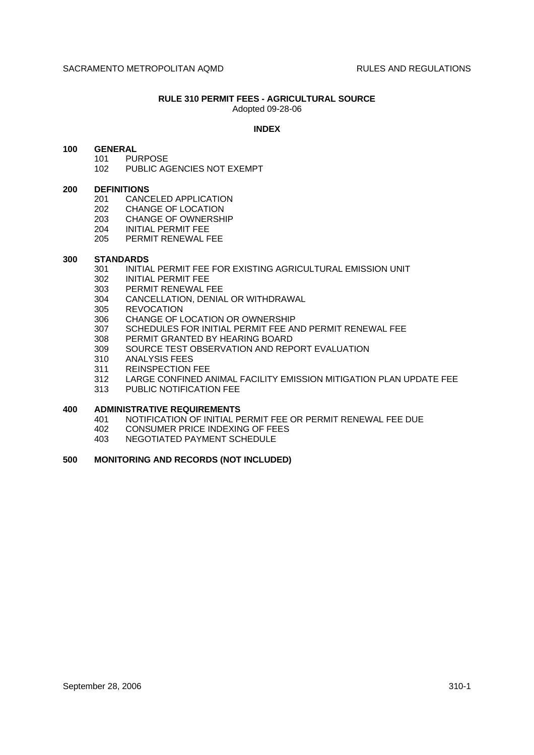#### **RULE 310 PERMIT FEES - AGRICULTURAL SOURCE** Adopted 09-28-06

## **INDEX**

### **100 GENERAL**

- 101 PURPOSE
- 102 PUBLIC AGENCIES NOT EXEMPT

#### **200 DEFINITIONS**

- 201 CANCELED APPLICATION
- 202 CHANGE OF LOCATION
- 203 CHANGE OF OWNERSHIP
- 204 INITIAL PERMIT FEE
- 205 PERMIT RENEWAL FEE

### **300 STANDARDS**

- 301 INITIAL PERMIT FEE FOR EXISTING AGRICULTURAL EMISSION UNIT
- 302 INITIAL PERMIT FEE
- 303 PERMIT RENEWAL FEE
- 304 CANCELLATION, DENIAL OR WITHDRAWAL
- 305 REVOCATION
- 306 CHANGE OF LOCATION OR OWNERSHIP
- 307 SCHEDULES FOR INITIAL PERMIT FEE AND PERMIT RENEWAL FEE
- 308 PERMIT GRANTED BY HEARING BOARD
- 309 SOURCE TEST OBSERVATION AND REPORT EVALUATION
- 310 ANALYSIS FEES
- 311 REINSPECTION FEE<br>312 LARGE CONFINED A
- LARGE CONFINED ANIMAL FACILITY EMISSION MITIGATION PLAN UPDATE FEE
- 313 PUBLIC NOTIFICATION FEE

## **400 ADMINISTRATIVE REQUIREMENTS**

- 401 NOTIFICATION OF INITIAL PERMIT FEE OR PERMIT RENEWAL FEE DUE<br>402 CONSUMER PRICE INDEXING OF FEES
- CONSUMER PRICE INDEXING OF FEES
- 403 NEGOTIATED PAYMENT SCHEDULE

## **500 MONITORING AND RECORDS (NOT INCLUDED)**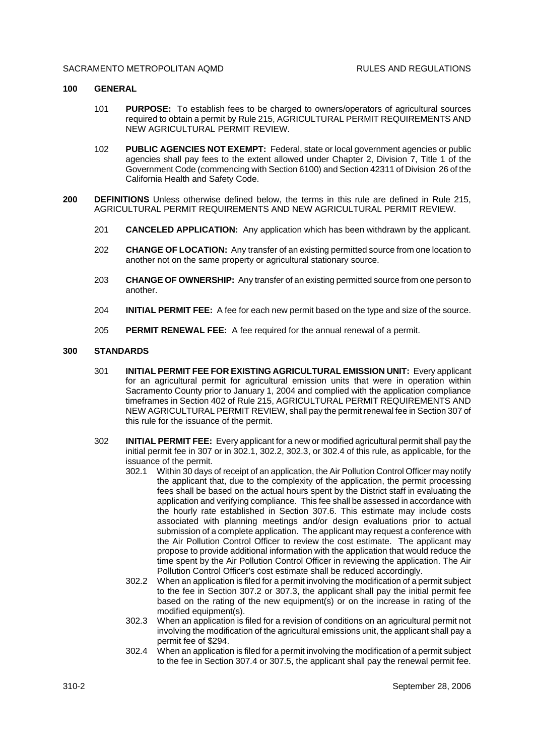#### SACRAMENTO METROPOLITAN AOMD **RULES AND REGULATIONS**

### **100 GENERAL**

- 101 **PURPOSE:** To establish fees to be charged to owners/operators of agricultural sources required to obtain a permit by Rule 215, AGRICULTURAL PERMIT REQUIREMENTS AND NEW AGRICULTURAL PERMIT REVIEW.
- 102 **PUBLIC AGENCIES NOT EXEMPT:** Federal, state or local government agencies or public agencies shall pay fees to the extent allowed under Chapter 2, Division 7, Title 1 of the Government Code (commencing with Section 6100) and Section 42311 of Division 26 of the California Health and Safety Code.
- **200 DEFINITIONS** Unless otherwise defined below, the terms in this rule are defined in Rule 215, AGRICULTURAL PERMIT REQUIREMENTS AND NEW AGRICULTURAL PERMIT REVIEW.
	- 201 **CANCELED APPLICATION:** Any application which has been withdrawn by the applicant.
	- 202 **CHANGE OF LOCATION:** Any transfer of an existing permitted source from one location to another not on the same property or agricultural stationary source.
	- 203 **CHANGE OF OWNERSHIP:** Any transfer of an existing permitted source from one person to another.
	- 204 **INITIAL PERMIT FEE:** A fee for each new permit based on the type and size of the source.
	- 205 **PERMIT RENEWAL FEE:** A fee required for the annual renewal of a permit.

# **300 STANDARDS**

- 301 **INITIAL PERMIT FEE FOR EXISTING AGRICULTURAL EMISSION UNIT:** Every applicant for an agricultural permit for agricultural emission units that were in operation within Sacramento County prior to January 1, 2004 and complied with the application compliance timeframes in Section 402 of Rule 215, AGRICULTURAL PERMIT REQUIREMENTS AND NEW AGRICULTURAL PERMIT REVIEW, shall pay the permit renewal fee in Section 307 of this rule for the issuance of the permit.
- 302 **INITIAL PERMIT FEE:** Every applicant for a new or modified agricultural permit shall pay the initial permit fee in 307 or in 302.1, 302.2, 302.3, or 302.4 of this rule, as applicable, for the issuance of the permit.
	- 302.1 Within 30 days of receipt of an application, the Air Pollution Control Officer may notify the applicant that, due to the complexity of the application, the permit processing fees shall be based on the actual hours spent by the District staff in evaluating the application and verifying compliance. This fee shall be assessed in accordance with the hourly rate established in Section 307.6. This estimate may include costs associated with planning meetings and/or design evaluations prior to actual submission of a complete application. The applicant may request a conference with the Air Pollution Control Officer to review the cost estimate. The applicant may propose to provide additional information with the application that would reduce the time spent by the Air Pollution Control Officer in reviewing the application. The Air Pollution Control Officer's cost estimate shall be reduced accordingly.
	- 302.2 When an application is filed for a permit involving the modification of a permit subject to the fee in Section 307.2 or 307.3, the applicant shall pay the initial permit fee based on the rating of the new equipment(s) or on the increase in rating of the modified equipment(s).
	- 302.3 When an application is filed for a revision of conditions on an agricultural permit not involving the modification of the agricultural emissions unit, the applicant shall pay a permit fee of \$294.
	- 302.4 When an application is filed for a permit involving the modification of a permit subject to the fee in Section 307.4 or 307.5, the applicant shall pay the renewal permit fee.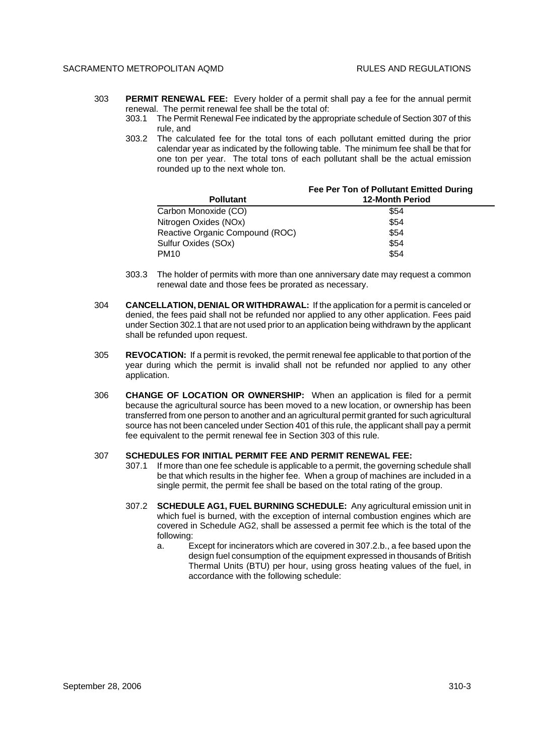### SACRAMENTO METROPOLITAN AOMD **RULES AND REGULATIONS**

- 303 **PERMIT RENEWAL FEE:** Every holder of a permit shall pay a fee for the annual permit renewal. The permit renewal fee shall be the total of:
	- 303.1 The Permit Renewal Fee indicated by the appropriate schedule of Section 307 of this rule, and
	- 303.2 The calculated fee for the total tons of each pollutant emitted during the prior calendar year as indicated by the following table. The minimum fee shall be that for one ton per year. The total tons of each pollutant shall be the actual emission rounded up to the next whole ton.

| <b>Pollutant</b>                | Fee Per Ton of Pollutant Emitted During<br><b>12-Month Period</b> |
|---------------------------------|-------------------------------------------------------------------|
| Carbon Monoxide (CO)            | \$54                                                              |
| Nitrogen Oxides (NOx)           | \$54                                                              |
| Reactive Organic Compound (ROC) | \$54                                                              |
| Sulfur Oxides (SOx)             | \$54                                                              |
| PM <sub>10</sub>                | \$54                                                              |

- 303.3 The holder of permits with more than one anniversary date may request a common renewal date and those fees be prorated as necessary.
- 304 **CANCELLATION, DENIAL OR WITHDRAWAL:** If the application for a permit is canceled or denied, the fees paid shall not be refunded nor applied to any other application. Fees paid under Section 302.1 that are not used prior to an application being withdrawn by the applicant shall be refunded upon request.
- 305 **REVOCATION:** If a permit is revoked, the permit renewal fee applicable to that portion of the year during which the permit is invalid shall not be refunded nor applied to any other application.
- 306 **CHANGE OF LOCATION OR OWNERSHIP:** When an application is filed for a permit because the agricultural source has been moved to a new location, or ownership has been transferred from one person to another and an agricultural permit granted for such agricultural source has not been canceled under Section 401 of this rule, the applicant shall pay a permit fee equivalent to the permit renewal fee in Section 303 of this rule.

### 307 **SCHEDULES FOR INITIAL PERMIT FEE AND PERMIT RENEWAL FEE:**

- 307.1 If more than one fee schedule is applicable to a permit, the governing schedule shall be that which results in the higher fee. When a group of machines are included in a single permit, the permit fee shall be based on the total rating of the group.
- 307.2 **SCHEDULE AG1, FUEL BURNING SCHEDULE:** Any agricultural emission unit in which fuel is burned, with the exception of internal combustion engines which are covered in Schedule AG2, shall be assessed a permit fee which is the total of the following:
	- a. Except for incinerators which are covered in 307.2.b., a fee based upon the design fuel consumption of the equipment expressed in thousands of British Thermal Units (BTU) per hour, using gross heating values of the fuel, in accordance with the following schedule: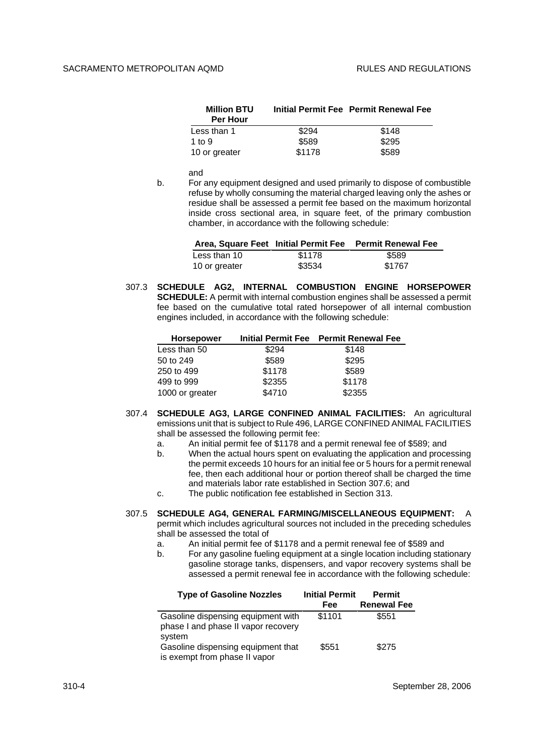| <b>Million BTU</b><br><b>Per Hour</b> |        | Initial Permit Fee Permit Renewal Fee |
|---------------------------------------|--------|---------------------------------------|
| Less than 1                           | \$294  | \$148                                 |
| 1 to $9$                              | \$589  | \$295                                 |
| 10 or greater                         | \$1178 | \$589                                 |

and

b. For any equipment designed and used primarily to dispose of combustible refuse by wholly consuming the material charged leaving only the ashes or residue shall be assessed a permit fee based on the maximum horizontal inside cross sectional area, in square feet, of the primary combustion chamber, in accordance with the following schedule:

|               |        | Area, Square Feet Initial Permit Fee Permit Renewal Fee |
|---------------|--------|---------------------------------------------------------|
| Less than 10  | \$1178 | \$589                                                   |
| 10 or greater | \$3534 | \$1767                                                  |

307.3 **SCHEDULE AG2, INTERNAL COMBUSTION ENGINE HORSEPOWER SCHEDULE:** A permit with internal combustion engines shall be assessed a permit fee based on the cumulative total rated horsepower of all internal combustion engines included, in accordance with the following schedule:

| \$294  | \$148  |                                       |
|--------|--------|---------------------------------------|
| \$589  | \$295  |                                       |
| \$1178 | \$589  |                                       |
| \$2355 | \$1178 |                                       |
| \$4710 | \$2355 |                                       |
|        |        | Initial Permit Fee Permit Renewal Fee |

- 307.4 **SCHEDULE AG3, LARGE CONFINED ANIMAL FACILITIES:** An agricultural emissions unit that is subject to Rule 496, LARGE CONFINED ANIMAL FACILITIES shall be assessed the following permit fee:
	- a. An initial permit fee of \$1178 and a permit renewal fee of \$589; and
	- b. When the actual hours spent on evaluating the application and processing the permit exceeds 10 hours for an initial fee or 5 hours for a permit renewal fee, then each additional hour or portion thereof shall be charged the time and materials labor rate established in Section 307.6; and
	- c. The public notification fee established in Section 313.

307.5 **SCHEDULE AG4, GENERAL FARMING/MISCELLANEOUS EQUIPMENT:** A permit which includes agricultural sources not included in the preceding schedules shall be assessed the total of

- a. An initial permit fee of \$1178 and a permit renewal fee of \$589 and
- b. For any gasoline fueling equipment at a single location including stationary gasoline storage tanks, dispensers, and vapor recovery systems shall be assessed a permit renewal fee in accordance with the following schedule:

| <b>Type of Gasoline Nozzles</b>                                                     | <b>Initial Permit</b> | <b>Permit</b>      |  |
|-------------------------------------------------------------------------------------|-----------------------|--------------------|--|
|                                                                                     | Fee                   | <b>Renewal Fee</b> |  |
| Gasoline dispensing equipment with<br>phase I and phase II vapor recovery<br>svstem | \$1101                | \$551              |  |
| Gasoline dispensing equipment that<br>is exempt from phase II vapor                 | \$551                 | \$275              |  |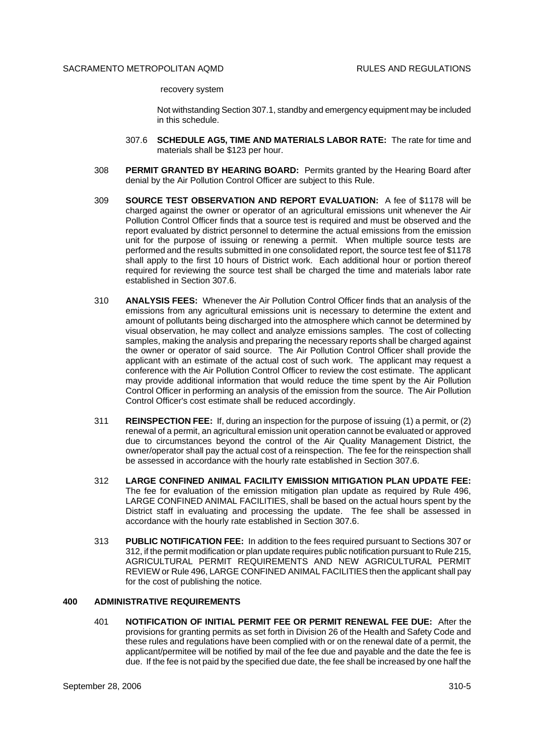recovery system

Not withstanding Section 307.1, standby and emergency equipment may be included in this schedule.

- 307.6 **SCHEDULE AG5, TIME AND MATERIALS LABOR RATE:** The rate for time and materials shall be \$123 per hour.
- 308 **PERMIT GRANTED BY HEARING BOARD:** Permits granted by the Hearing Board after denial by the Air Pollution Control Officer are subject to this Rule.
- 309 **SOURCE TEST OBSERVATION AND REPORT EVALUATION:** A fee of \$1178 will be charged against the owner or operator of an agricultural emissions unit whenever the Air Pollution Control Officer finds that a source test is required and must be observed and the report evaluated by district personnel to determine the actual emissions from the emission unit for the purpose of issuing or renewing a permit. When multiple source tests are performed and the results submitted in one consolidated report, the source test fee of \$1178 shall apply to the first 10 hours of District work. Each additional hour or portion thereof required for reviewing the source test shall be charged the time and materials labor rate established in Section 307.6.
- 310 **ANALYSIS FEES:** Whenever the Air Pollution Control Officer finds that an analysis of the emissions from any agricultural emissions unit is necessary to determine the extent and amount of pollutants being discharged into the atmosphere which cannot be determined by visual observation, he may collect and analyze emissions samples. The cost of collecting samples, making the analysis and preparing the necessary reports shall be charged against the owner or operator of said source. The Air Pollution Control Officer shall provide the applicant with an estimate of the actual cost of such work. The applicant may request a conference with the Air Pollution Control Officer to review the cost estimate. The applicant may provide additional information that would reduce the time spent by the Air Pollution Control Officer in performing an analysis of the emission from the source. The Air Pollution Control Officer's cost estimate shall be reduced accordingly.
- 311 **REINSPECTION FEE:** If, during an inspection for the purpose of issuing (1) a permit, or (2) renewal of a permit, an agricultural emission unit operation cannot be evaluated or approved due to circumstances beyond the control of the Air Quality Management District, the owner/operator shall pay the actual cost of a reinspection. The fee for the reinspection shall be assessed in accordance with the hourly rate established in Section 307.6.
- 312 **LARGE CONFINED ANIMAL FACILITY EMISSION MITIGATION PLAN UPDATE FEE:** The fee for evaluation of the emission mitigation plan update as required by Rule 496, LARGE CONFINED ANIMAL FACILITIES, shall be based on the actual hours spent by the District staff in evaluating and processing the update. The fee shall be assessed in accordance with the hourly rate established in Section 307.6.
- 313 **PUBLIC NOTIFICATION FEE:** In addition to the fees required pursuant to Sections 307 or 312, if the permit modification or plan update requires public notification pursuant to Rule 215, AGRICULTURAL PERMIT REQUIREMENTS AND NEW AGRICULTURAL PERMIT REVIEW or Rule 496, LARGE CONFINED ANIMAL FACILITIES then the applicant shall pay for the cost of publishing the notice.

#### **400 ADMINISTRATIVE REQUIREMENTS**

401 **NOTIFICATION OF INITIAL PERMIT FEE OR PERMIT RENEWAL FEE DUE:** After the provisions for granting permits as set forth in Division 26 of the Health and Safety Code and these rules and regulations have been complied with or on the renewal date of a permit, the applicant/permitee will be notified by mail of the fee due and payable and the date the fee is due. If the fee is not paid by the specified due date, the fee shall be increased by one half the